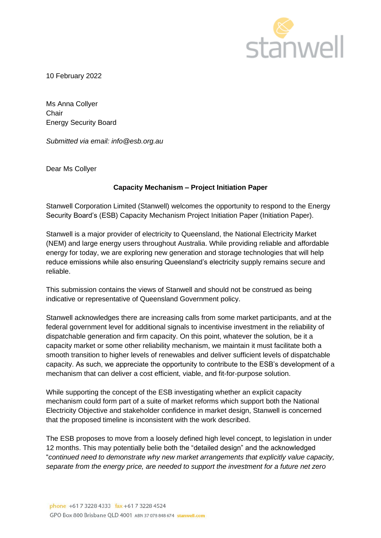

10 February 2022

Ms Anna Collyer **Chair** Energy Security Board

*Submitted via email: info@esb.org.au*

Dear Ms Collyer

# **Capacity Mechanism – Project Initiation Paper**

Stanwell Corporation Limited (Stanwell) welcomes the opportunity to respond to the Energy Security Board's (ESB) Capacity Mechanism Project Initiation Paper (Initiation Paper).

Stanwell is a major provider of electricity to Queensland, the National Electricity Market (NEM) and large energy users throughout Australia. While providing reliable and affordable energy for today, we are exploring new generation and storage technologies that will help reduce emissions while also ensuring Queensland's electricity supply remains secure and reliable.

This submission contains the views of Stanwell and should not be construed as being indicative or representative of Queensland Government policy.

Stanwell acknowledges there are increasing calls from some market participants, and at the federal government level for additional signals to incentivise investment in the reliability of dispatchable generation and firm capacity. On this point, whatever the solution, be it a capacity market or some other reliability mechanism, we maintain it must facilitate both a smooth transition to higher levels of renewables and deliver sufficient levels of dispatchable capacity. As such, we appreciate the opportunity to contribute to the ESB's development of a mechanism that can deliver a cost efficient, viable, and fit-for-purpose solution.

While supporting the concept of the ESB investigating whether an explicit capacity mechanism could form part of a suite of market reforms which support both the National Electricity Objective and stakeholder confidence in market design, Stanwell is concerned that the proposed timeline is inconsistent with the work described.

The ESB proposes to move from a loosely defined high level concept, to legislation in under 12 months. This may potentially belie both the "detailed design" and the acknowledged "*continued need to demonstrate why new market arrangements that explicitly value capacity, separate from the energy price, are needed to support the investment for a future net zero*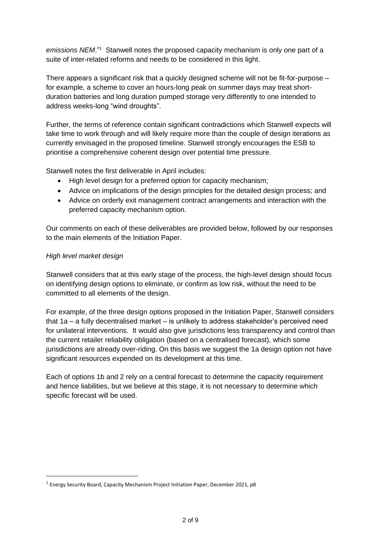emissions NEM."<sup>1</sup> Stanwell notes the proposed capacity mechanism is only one part of a suite of inter-related reforms and needs to be considered in this light.

There appears a significant risk that a quickly designed scheme will not be fit-for-purpose – for example, a scheme to cover an hours-long peak on summer days may treat shortduration batteries and long duration pumped storage very differently to one intended to address weeks-long "wind droughts".

Further, the terms of reference contain significant contradictions which Stanwell expects will take time to work through and will likely require more than the couple of design iterations as currently envisaged in the proposed timeline. Stanwell strongly encourages the ESB to prioritise a comprehensive coherent design over potential time pressure.

Stanwell notes the first deliverable in April includes:

- High level design for a preferred option for capacity mechanism:
- Advice on implications of the design principles for the detailed design process; and
- Advice on orderly exit management contract arrangements and interaction with the preferred capacity mechanism option.

Our comments on each of these deliverables are provided below, followed by our responses to the main elements of the Initiation Paper.

### *High level market design*

Stanwell considers that at this early stage of the process, the high-level design should focus on identifying design options to eliminate, or confirm as low risk, without the need to be committed to all elements of the design.

For example, of the three design options proposed in the Initiation Paper, Stanwell considers that 1a – a fully decentralised market – is unlikely to address stakeholder's perceived need for unilateral interventions. It would also give jurisdictions less transparency and control than the current retailer reliability obligation (based on a centralised forecast), which some jurisdictions are already over-riding. On this basis we suggest the 1a design option not have significant resources expended on its development at this time.

Each of options 1b and 2 rely on a central forecast to determine the capacity requirement and hence liabilities, but we believe at this stage, it is not necessary to determine which specific forecast will be used.

<sup>&</sup>lt;sup>1</sup> Energy Security Board, Capacity Mechanism Project Initiation Paper, December 2021, p8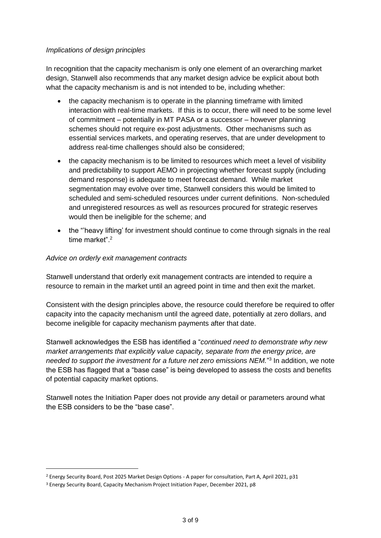### *Implications of design principles*

In recognition that the capacity mechanism is only one element of an overarching market design, Stanwell also recommends that any market design advice be explicit about both what the capacity mechanism is and is not intended to be, including whether:

- the capacity mechanism is to operate in the planning timeframe with limited interaction with real-time markets. If this is to occur, there will need to be some level of commitment – potentially in MT PASA or a successor – however planning schemes should not require ex-post adjustments. Other mechanisms such as essential services markets, and operating reserves, that are under development to address real-time challenges should also be considered;
- the capacity mechanism is to be limited to resources which meet a level of visibility and predictability to support AEMO in projecting whether forecast supply (including demand response) is adequate to meet forecast demand. While market segmentation may evolve over time, Stanwell considers this would be limited to scheduled and semi-scheduled resources under current definitions. Non-scheduled and unregistered resources as well as resources procured for strategic reserves would then be ineligible for the scheme; and
- the "'heavy lifting' for investment should continue to come through signals in the real time market".<sup>2</sup>

### *Advice on orderly exit management contracts*

Stanwell understand that orderly exit management contracts are intended to require a resource to remain in the market until an agreed point in time and then exit the market.

Consistent with the design principles above, the resource could therefore be required to offer capacity into the capacity mechanism until the agreed date, potentially at zero dollars, and become ineligible for capacity mechanism payments after that date.

Stanwell acknowledges the ESB has identified a "*continued need to demonstrate why new market arrangements that explicitly value capacity, separate from the energy price, are*  needed to support the investment for a future net zero emissions NEM."<sup>3</sup> In addition, we note the ESB has flagged that a "base case" is being developed to assess the costs and benefits of potential capacity market options.

Stanwell notes the Initiation Paper does not provide any detail or parameters around what the ESB considers to be the "base case".

<sup>2</sup> Energy Security Board, Post 2025 Market Design Options - A paper for consultation, Part A, April 2021, p31

<sup>&</sup>lt;sup>3</sup> Energy Security Board, Capacity Mechanism Project Initiation Paper, December 2021, p8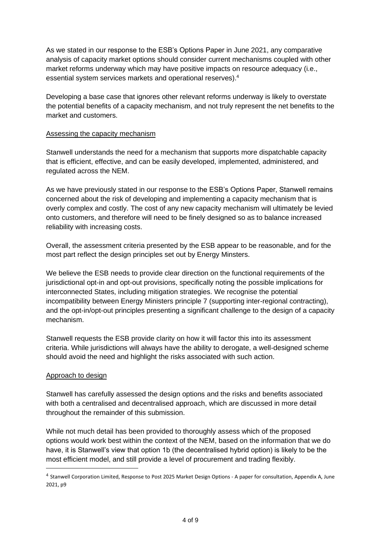As we stated in our response to the ESB's Options Paper in June 2021, any comparative analysis of capacity market options should consider current mechanisms coupled with other market reforms underway which may have positive impacts on resource adequacy (i.e., essential system services markets and operational reserves).<sup>4</sup>

Developing a base case that ignores other relevant reforms underway is likely to overstate the potential benefits of a capacity mechanism, and not truly represent the net benefits to the market and customers.

### Assessing the capacity mechanism

Stanwell understands the need for a mechanism that supports more dispatchable capacity that is efficient, effective, and can be easily developed, implemented, administered, and regulated across the NEM.

As we have previously stated in our response to the ESB's Options Paper, Stanwell remains concerned about the risk of developing and implementing a capacity mechanism that is overly complex and costly. The cost of any new capacity mechanism will ultimately be levied onto customers, and therefore will need to be finely designed so as to balance increased reliability with increasing costs.

Overall, the assessment criteria presented by the ESB appear to be reasonable, and for the most part reflect the design principles set out by Energy Minsters.

We believe the ESB needs to provide clear direction on the functional requirements of the jurisdictional opt-in and opt-out provisions, specifically noting the possible implications for interconnected States, including mitigation strategies. We recognise the potential incompatibility between Energy Ministers principle 7 (supporting inter-regional contracting), and the opt-in/opt-out principles presenting a significant challenge to the design of a capacity mechanism.

Stanwell requests the ESB provide clarity on how it will factor this into its assessment criteria. While jurisdictions will always have the ability to derogate, a well-designed scheme should avoid the need and highlight the risks associated with such action.

### Approach to design

Stanwell has carefully assessed the design options and the risks and benefits associated with both a centralised and decentralised approach, which are discussed in more detail throughout the remainder of this submission.

While not much detail has been provided to thoroughly assess which of the proposed options would work best within the context of the NEM, based on the information that we do have, it is Stanwell's view that option 1b (the decentralised hybrid option) is likely to be the most efficient model, and still provide a level of procurement and trading flexibly.

<sup>4</sup> Stanwell Corporation Limited, Response to Post 2025 Market Design Options - A paper for consultation, Appendix A, June 2021, p9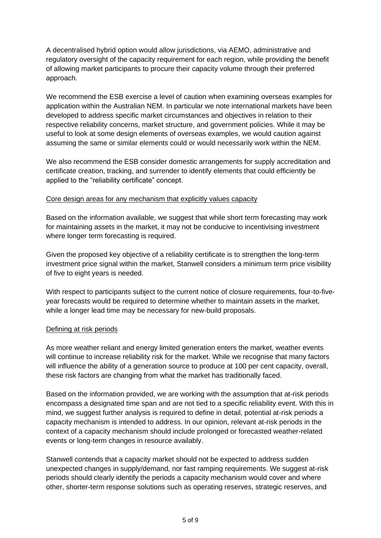A decentralised hybrid option would allow jurisdictions, via AEMO, administrative and regulatory oversight of the capacity requirement for each region, while providing the benefit of allowing market participants to procure their capacity volume through their preferred approach.

We recommend the ESB exercise a level of caution when examining overseas examples for application within the Australian NEM. In particular we note international markets have been developed to address specific market circumstances and objectives in relation to their respective reliability concerns, market structure, and government policies. While it may be useful to look at some design elements of overseas examples, we would caution against assuming the same or similar elements could or would necessarily work within the NEM.

We also recommend the ESB consider domestic arrangements for supply accreditation and certificate creation, tracking, and surrender to identify elements that could efficiently be applied to the "reliability certificate" concept.

### Core design areas for any mechanism that explicitly values capacity

Based on the information available, we suggest that while short term forecasting may work for maintaining assets in the market, it may not be conducive to incentivising investment where longer term forecasting is required.

Given the proposed key objective of a reliability certificate is to strengthen the long-term investment price signal within the market, Stanwell considers a minimum term price visibility of five to eight years is needed.

With respect to participants subject to the current notice of closure requirements, four-to-fiveyear forecasts would be required to determine whether to maintain assets in the market, while a longer lead time may be necessary for new-build proposals.

### Defining at risk periods

As more weather reliant and energy limited generation enters the market, weather events will continue to increase reliability risk for the market. While we recognise that many factors will influence the ability of a generation source to produce at 100 per cent capacity, overall, these risk factors are changing from what the market has traditionally faced.

Based on the information provided, we are working with the assumption that at-risk periods encompass a designated time span and are not tied to a specific reliability event. With this in mind, we suggest further analysis is required to define in detail, potential at-risk periods a capacity mechanism is intended to address. In our opinion, relevant at-risk periods in the context of a capacity mechanism should include prolonged or forecasted weather-related events or long-term changes in resource availably.

Stanwell contends that a capacity market should not be expected to address sudden unexpected changes in supply/demand, nor fast ramping requirements. We suggest at-risk periods should clearly identify the periods a capacity mechanism would cover and where other, shorter-term response solutions such as operating reserves, strategic reserves, and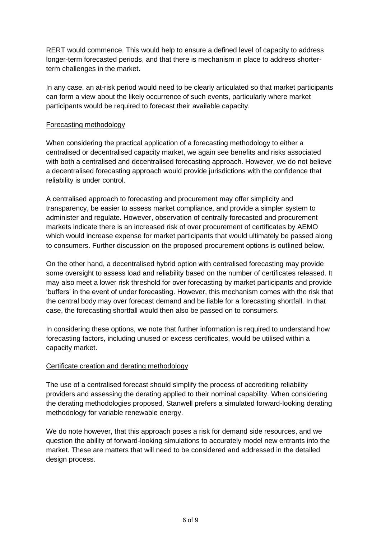RERT would commence. This would help to ensure a defined level of capacity to address longer-term forecasted periods, and that there is mechanism in place to address shorterterm challenges in the market.

In any case, an at-risk period would need to be clearly articulated so that market participants can form a view about the likely occurrence of such events, particularly where market participants would be required to forecast their available capacity.

# Forecasting methodology

When considering the practical application of a forecasting methodology to either a centralised or decentralised capacity market, we again see benefits and risks associated with both a centralised and decentralised forecasting approach. However, we do not believe a decentralised forecasting approach would provide jurisdictions with the confidence that reliability is under control.

A centralised approach to forecasting and procurement may offer simplicity and transparency, be easier to assess market compliance, and provide a simpler system to administer and regulate. However, observation of centrally forecasted and procurement markets indicate there is an increased risk of over procurement of certificates by AEMO which would increase expense for market participants that would ultimately be passed along to consumers. Further discussion on the proposed procurement options is outlined below.

On the other hand, a decentralised hybrid option with centralised forecasting may provide some oversight to assess load and reliability based on the number of certificates released. It may also meet a lower risk threshold for over forecasting by market participants and provide 'buffers' in the event of under forecasting. However, this mechanism comes with the risk that the central body may over forecast demand and be liable for a forecasting shortfall. In that case, the forecasting shortfall would then also be passed on to consumers.

In considering these options, we note that further information is required to understand how forecasting factors, including unused or excess certificates, would be utilised within a capacity market.

# Certificate creation and derating methodology

The use of a centralised forecast should simplify the process of accrediting reliability providers and assessing the derating applied to their nominal capability. When considering the derating methodologies proposed, Stanwell prefers a simulated forward-looking derating methodology for variable renewable energy.

We do note however, that this approach poses a risk for demand side resources, and we question the ability of forward-looking simulations to accurately model new entrants into the market. These are matters that will need to be considered and addressed in the detailed design process.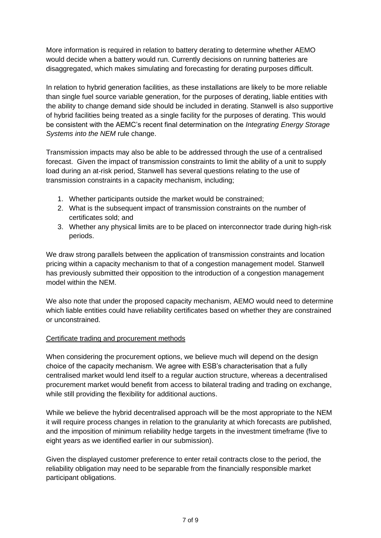More information is required in relation to battery derating to determine whether AEMO would decide when a battery would run. Currently decisions on running batteries are disaggregated, which makes simulating and forecasting for derating purposes difficult.

In relation to hybrid generation facilities, as these installations are likely to be more reliable than single fuel source variable generation, for the purposes of derating, liable entities with the ability to change demand side should be included in derating. Stanwell is also supportive of hybrid facilities being treated as a single facility for the purposes of derating. This would be consistent with the AEMC's recent final determination on the *Integrating Energy Storage Systems into the NEM* rule change.

Transmission impacts may also be able to be addressed through the use of a centralised forecast. Given the impact of transmission constraints to limit the ability of a unit to supply load during an at-risk period, Stanwell has several questions relating to the use of transmission constraints in a capacity mechanism, including;

- 1. Whether participants outside the market would be constrained;
- 2. What is the subsequent impact of transmission constraints on the number of certificates sold; and
- 3. Whether any physical limits are to be placed on interconnector trade during high-risk periods.

We draw strong parallels between the application of transmission constraints and location pricing within a capacity mechanism to that of a congestion management model. Stanwell has previously submitted their opposition to the introduction of a congestion management model within the NEM.

We also note that under the proposed capacity mechanism, AEMO would need to determine which liable entities could have reliability certificates based on whether they are constrained or unconstrained.

# Certificate trading and procurement methods

When considering the procurement options, we believe much will depend on the design choice of the capacity mechanism. We agree with ESB's characterisation that a fully centralised market would lend itself to a regular auction structure, whereas a decentralised procurement market would benefit from access to bilateral trading and trading on exchange, while still providing the flexibility for additional auctions.

While we believe the hybrid decentralised approach will be the most appropriate to the NEM it will require process changes in relation to the granularity at which forecasts are published, and the imposition of minimum reliability hedge targets in the investment timeframe (five to eight years as we identified earlier in our submission).

Given the displayed customer preference to enter retail contracts close to the period, the reliability obligation may need to be separable from the financially responsible market participant obligations.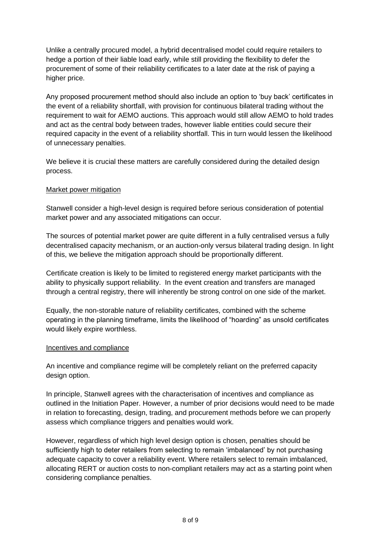Unlike a centrally procured model, a hybrid decentralised model could require retailers to hedge a portion of their liable load early, while still providing the flexibility to defer the procurement of some of their reliability certificates to a later date at the risk of paying a higher price.

Any proposed procurement method should also include an option to 'buy back' certificates in the event of a reliability shortfall, with provision for continuous bilateral trading without the requirement to wait for AEMO auctions. This approach would still allow AEMO to hold trades and act as the central body between trades, however liable entities could secure their required capacity in the event of a reliability shortfall. This in turn would lessen the likelihood of unnecessary penalties.

We believe it is crucial these matters are carefully considered during the detailed design process.

### Market power mitigation

Stanwell consider a high-level design is required before serious consideration of potential market power and any associated mitigations can occur.

The sources of potential market power are quite different in a fully centralised versus a fully decentralised capacity mechanism, or an auction-only versus bilateral trading design. In light of this, we believe the mitigation approach should be proportionally different.

Certificate creation is likely to be limited to registered energy market participants with the ability to physically support reliability. In the event creation and transfers are managed through a central registry, there will inherently be strong control on one side of the market.

Equally, the non-storable nature of reliability certificates, combined with the scheme operating in the planning timeframe, limits the likelihood of "hoarding" as unsold certificates would likely expire worthless.

#### Incentives and compliance

An incentive and compliance regime will be completely reliant on the preferred capacity design option.

In principle, Stanwell agrees with the characterisation of incentives and compliance as outlined in the Initiation Paper. However, a number of prior decisions would need to be made in relation to forecasting, design, trading, and procurement methods before we can properly assess which compliance triggers and penalties would work.

However, regardless of which high level design option is chosen, penalties should be sufficiently high to deter retailers from selecting to remain 'imbalanced' by not purchasing adequate capacity to cover a reliability event. Where retailers select to remain imbalanced, allocating RERT or auction costs to non-compliant retailers may act as a starting point when considering compliance penalties.